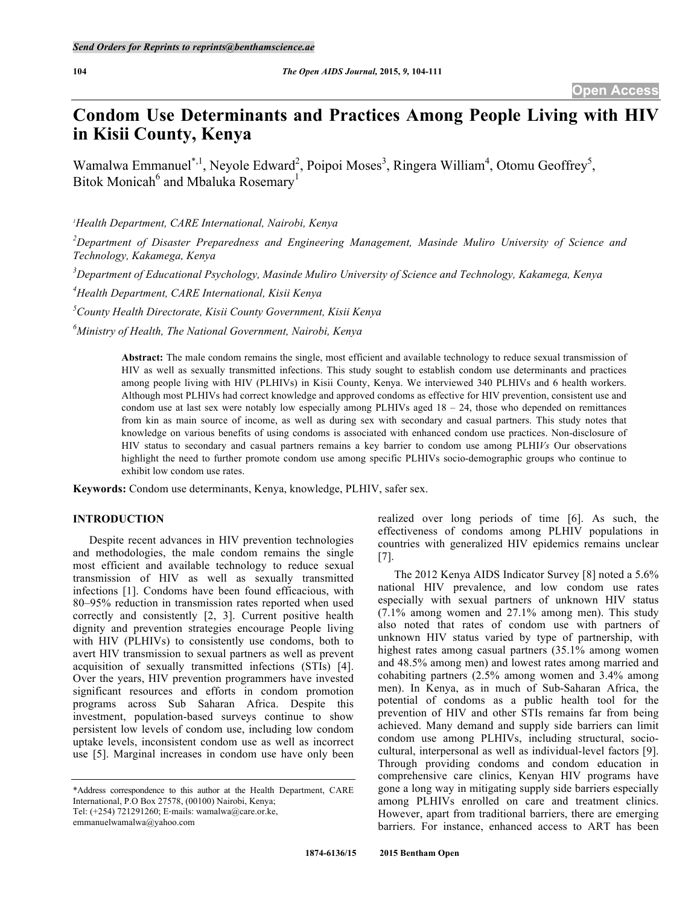# **Condom Use Determinants and Practices Among People Living with HIV in Kisii County, Kenya**

Wamalwa Emmanuel<sup>\*,1</sup>, Neyole Edward<sup>2</sup>, Poipoi Moses<sup>3</sup>, Ringera William<sup>4</sup>, Otomu Geoffrey<sup>5</sup>, Bitok Monicah<sup>6</sup> and Mbaluka Rosemary<sup>1</sup>

*1 Health Department, CARE International, Nairobi, Kenya*

*2 Department of Disaster Preparedness and Engineering Management, Masinde Muliro University of Science and Technology, Kakamega, Kenya*

*3 Department of Educational Psychology, Masinde Muliro University of Science and Technology, Kakamega, Kenya*

*4 Health Department, CARE International, Kisii Kenya*

*5 County Health Directorate, Kisii County Government, Kisii Kenya*

*6 Ministry of Health, The National Government, Nairobi, Kenya*

**Abstract:** The male condom remains the single, most efficient and available technology to reduce sexual transmission of HIV as well as sexually transmitted infections. This study sought to establish condom use determinants and practices among people living with HIV (PLHIVs) in Kisii County, Kenya. We interviewed 340 PLHIVs and 6 health workers. Although most PLHIVs had correct knowledge and approved condoms as effective for HIV prevention, consistent use and condom use at last sex were notably low especially among PLHIVs aged  $18 - 24$ , those who depended on remittances from kin as main source of income, as well as during sex with secondary and casual partners. This study notes that knowledge on various benefits of using condoms is associated with enhanced condom use practices. Non-disclosure of HIV status to secondary and casual partners remains a key barrier to condom use among PLHI*Vs* Our observations highlight the need to further promote condom use among specific PLHIVs socio-demographic groups who continue to exhibit low condom use rates.

**Keywords:** Condom use determinants, Kenya, knowledge, PLHIV, safer sex.

# **INTRODUCTION**

Despite recent advances in HIV prevention technologies and methodologies, the male condom remains the single most efficient and available technology to reduce sexual transmission of HIV as well as sexually transmitted infections [1]. Condoms have been found efficacious, with 80–95% reduction in transmission rates reported when used correctly and consistently [2, 3]. Current positive health dignity and prevention strategies encourage People living with HIV (PLHIVs) to consistently use condoms, both to avert HIV transmission to sexual partners as well as prevent acquisition of sexually transmitted infections (STIs) [4]. Over the years, HIV prevention programmers have invested significant resources and efforts in condom promotion programs across Sub Saharan Africa. Despite this investment, population-based surveys continue to show persistent low levels of condom use, including low condom uptake levels, inconsistent condom use as well as incorrect use [5]. Marginal increases in condom use have only been

\*Address correspondence to this author at the Health Department, CARE International, P.O Box 27578, (00100) Nairobi, Kenya;

Tel: (+254) 721291260; E‐mails: wamalwa@care.or.ke,

emmanuelwamalwa@yahoo.com

realized over long periods of time [6]. As such, the effectiveness of condoms among PLHIV populations in countries with generalized HIV epidemics remains unclear [7].

The 2012 Kenya AIDS Indicator Survey [8] noted a 5.6% national HIV prevalence, and low condom use rates especially with sexual partners of unknown HIV status (7.1% among women and 27.1% among men). This study also noted that rates of condom use with partners of unknown HIV status varied by type of partnership, with highest rates among casual partners (35.1% among women and 48.5% among men) and lowest rates among married and cohabiting partners (2.5% among women and 3.4% among men). In Kenya, as in much of Sub-Saharan Africa, the potential of condoms as a public health tool for the prevention of HIV and other STIs remains far from being achieved. Many demand and supply side barriers can limit condom use among PLHIVs, including structural, sociocultural, interpersonal as well as individual-level factors [9]. Through providing condoms and condom education in comprehensive care clinics, Kenyan HIV programs have gone a long way in mitigating supply side barriers especially among PLHIVs enrolled on care and treatment clinics. However, apart from traditional barriers, there are emerging barriers. For instance, enhanced access to ART has been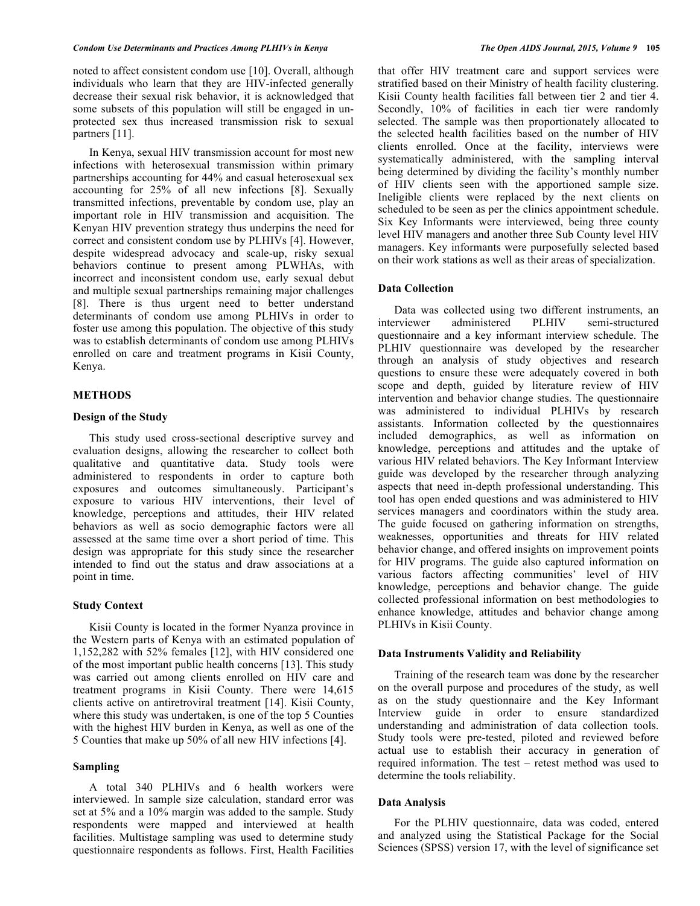#### *Condom Use Determinants and Practices Among PLHIVs in Kenya The Open AIDS Journal, 2015, Volume 9* **105**

noted to affect consistent condom use [10]. Overall, although individuals who learn that they are HIV-infected generally decrease their sexual risk behavior, it is acknowledged that some subsets of this population will still be engaged in unprotected sex thus increased transmission risk to sexual partners [11].

In Kenya, sexual HIV transmission account for most new infections with heterosexual transmission within primary partnerships accounting for 44% and casual heterosexual sex accounting for 25% of all new infections [8]. Sexually transmitted infections, preventable by condom use, play an important role in HIV transmission and acquisition. The Kenyan HIV prevention strategy thus underpins the need for correct and consistent condom use by PLHIVs [4]. However, despite widespread advocacy and scale-up, risky sexual behaviors continue to present among PLWHAs, with incorrect and inconsistent condom use, early sexual debut and multiple sexual partnerships remaining major challenges [8]. There is thus urgent need to better understand determinants of condom use among PLHIVs in order to foster use among this population. The objective of this study was to establish determinants of condom use among PLHIVs enrolled on care and treatment programs in Kisii County, Kenya.

### **METHODS**

# **Design of the Study**

This study used cross-sectional descriptive survey and evaluation designs, allowing the researcher to collect both qualitative and quantitative data. Study tools were administered to respondents in order to capture both exposures and outcomes simultaneously. Participant's exposure to various HIV interventions, their level of knowledge, perceptions and attitudes, their HIV related behaviors as well as socio demographic factors were all assessed at the same time over a short period of time. This design was appropriate for this study since the researcher intended to find out the status and draw associations at a point in time.

# **Study Context**

Kisii County is located in the former Nyanza province in the Western parts of Kenya with an estimated population of 1,152,282 with 52% females [12], with HIV considered one of the most important public health concerns [13]. This study was carried out among clients enrolled on HIV care and treatment programs in Kisii County. There were 14,615 clients active on antiretroviral treatment [14]. Kisii County, where this study was undertaken, is one of the top 5 Counties with the highest HIV burden in Kenya, as well as one of the 5 Counties that make up 50% of all new HIV infections [4].

# **Sampling**

A total 340 PLHIVs and 6 health workers were interviewed. In sample size calculation, standard error was set at 5% and a 10% margin was added to the sample. Study respondents were mapped and interviewed at health facilities. Multistage sampling was used to determine study questionnaire respondents as follows. First, Health Facilities that offer HIV treatment care and support services were stratified based on their Ministry of health facility clustering. Kisii County health facilities fall between tier 2 and tier 4. Secondly,  $10\%$  of facilities in each tier were randomly selected. The sample was then proportionately allocated to the selected health facilities based on the number of HIV clients enrolled. Once at the facility, interviews were systematically administered, with the sampling interval being determined by dividing the facility's monthly number of HIV clients seen with the apportioned sample size. Ineligible clients were replaced by the next clients on scheduled to be seen as per the clinics appointment schedule. Six Key Informants were interviewed, being three county level HIV managers and another three Sub County level HIV managers. Key informants were purposefully selected based on their work stations as well as their areas of specialization.

# **Data Collection**

Data was collected using two different instruments, an interviewer administered PLHIV semi-structured questionnaire and a key informant interview schedule. The PLHIV questionnaire was developed by the researcher through an analysis of study objectives and research questions to ensure these were adequately covered in both scope and depth, guided by literature review of HIV intervention and behavior change studies. The questionnaire was administered to individual PLHIVs by research assistants. Information collected by the questionnaires included demographics, as well as information on knowledge, perceptions and attitudes and the uptake of various HIV related behaviors. The Key Informant Interview guide was developed by the researcher through analyzing aspects that need in-depth professional understanding. This tool has open ended questions and was administered to HIV services managers and coordinators within the study area. The guide focused on gathering information on strengths, weaknesses, opportunities and threats for HIV related behavior change, and offered insights on improvement points for HIV programs. The guide also captured information on various factors affecting communities' level of HIV knowledge, perceptions and behavior change. The guide collected professional information on best methodologies to enhance knowledge, attitudes and behavior change among PLHIVs in Kisii County.

# **Data Instruments Validity and Reliability**

Training of the research team was done by the researcher on the overall purpose and procedures of the study, as well as on the study questionnaire and the Key Informant Interview guide in order to ensure standardized understanding and administration of data collection tools. Study tools were pre-tested, piloted and reviewed before actual use to establish their accuracy in generation of required information. The test – retest method was used to determine the tools reliability.

#### **Data Analysis**

For the PLHIV questionnaire, data was coded, entered and analyzed using the Statistical Package for the Social Sciences (SPSS) version 17, with the level of significance set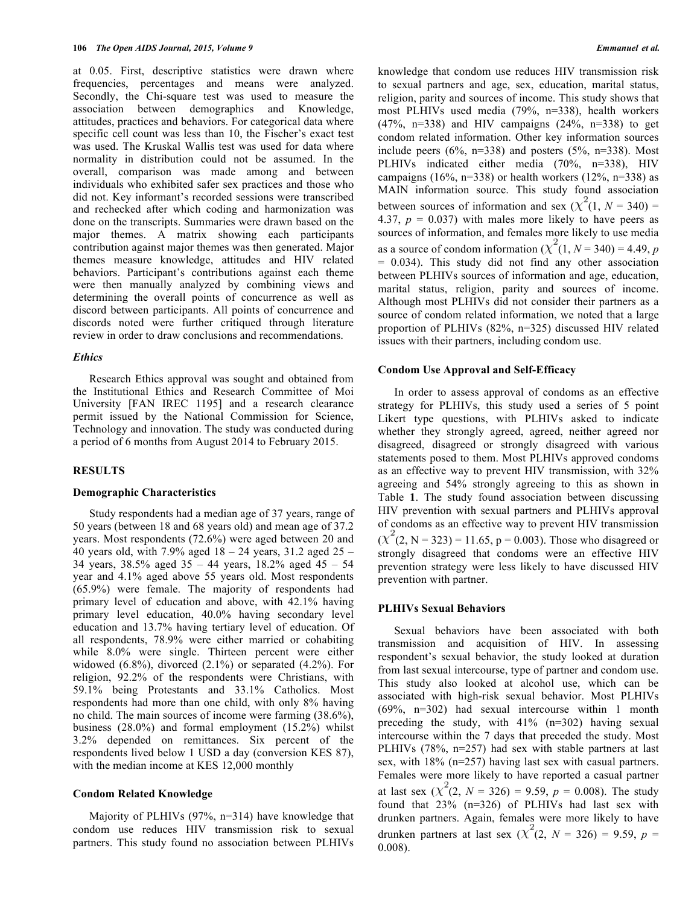at 0.05. First, descriptive statistics were drawn where frequencies, percentages and means were analyzed. Secondly, the Chi-square test was used to measure the association between demographics and Knowledge, attitudes, practices and behaviors. For categorical data where specific cell count was less than 10, the Fischer's exact test was used. The Kruskal Wallis test was used for data where normality in distribution could not be assumed. In the overall, comparison was made among and between individuals who exhibited safer sex practices and those who did not. Key informant's recorded sessions were transcribed and rechecked after which coding and harmonization was done on the transcripts. Summaries were drawn based on the major themes. A matrix showing each participants contribution against major themes was then generated. Major themes measure knowledge, attitudes and HIV related behaviors. Participant's contributions against each theme were then manually analyzed by combining views and determining the overall points of concurrence as well as discord between participants. All points of concurrence and discords noted were further critiqued through literature review in order to draw conclusions and recommendations.

# *Ethics*

Research Ethics approval was sought and obtained from the Institutional Ethics and Research Committee of Moi University [FAN IREC 1195] and a research clearance permit issued by the National Commission for Science, Technology and innovation. The study was conducted during a period of 6 months from August 2014 to February 2015.

### **RESULTS**

#### **Demographic Characteristics**

Study respondents had a median age of 37 years, range of 50 years (between 18 and 68 years old) and mean age of 37.2 years. Most respondents (72.6%) were aged between 20 and 40 years old, with 7.9% aged 18 – 24 years, 31.2 aged 25 – 34 years, 38.5% aged 35 – 44 years, 18.2% aged 45 – 54 year and 4.1% aged above 55 years old. Most respondents (65.9%) were female. The majority of respondents had primary level of education and above, with 42.1% having primary level education, 40.0% having secondary level education and 13.7% having tertiary level of education. Of all respondents, 78.9% were either married or cohabiting while 8.0% were single. Thirteen percent were either widowed  $(6.8\%)$ , divorced  $(2.1\%)$  or separated  $(4.2\%)$ . For religion, 92.2% of the respondents were Christians, with 59.1% being Protestants and 33.1% Catholics. Most respondents had more than one child, with only 8% having no child. The main sources of income were farming (38.6%), business (28.0%) and formal employment (15.2%) whilst 3.2% depended on remittances. Six percent of the respondents lived below 1 USD a day (conversion KES 87), with the median income at KES 12,000 monthly

#### **Condom Related Knowledge**

Majority of PLHIVs (97%, n=314) have knowledge that condom use reduces HIV transmission risk to sexual partners. This study found no association between PLHIVs knowledge that condom use reduces HIV transmission risk to sexual partners and age, sex, education, marital status, religion, parity and sources of income. This study shows that most PLHIVs used media (79%, n=338), health workers (47%, n=338) and HIV campaigns (24%, n=338) to get condom related information. Other key information sources include peers  $(6\%, n=338)$  and posters  $(5\%, n=338)$ . Most PLHIVs indicated either media (70%, n=338), HIV campaigns (16%, n=338) or health workers (12%, n=338) as MAIN information source. This study found association between sources of information and sex  $(X<sup>2</sup>(1, N = 340))$  = 4.37,  $p = 0.037$ ) with males more likely to have peers as sources of information, and females more likely to use media as a source of condom information  $(\chi^2(1, N = 340) = 4.49, p$ = 0.034). This study did not find any other association between PLHIVs sources of information and age, education, marital status, religion, parity and sources of income. Although most PLHIVs did not consider their partners as a source of condom related information, we noted that a large proportion of PLHIVs (82%, n=325) discussed HIV related issues with their partners, including condom use.

#### **Condom Use Approval and Self-Efficacy**

In order to assess approval of condoms as an effective strategy for PLHIVs, this study used a series of 5 point Likert type questions, with PLHIVs asked to indicate whether they strongly agreed, agreed, neither agreed nor disagreed, disagreed or strongly disagreed with various statements posed to them. Most PLHIVs approved condoms as an effective way to prevent HIV transmission, with 32% agreeing and 54% strongly agreeing to this as shown in Table **1**. The study found association between discussing HIV prevention with sexual partners and PLHIVs approval of condoms as an effective way to prevent HIV transmission  $(\chi^2(2, N = 323) = 11.65, p = 0.003)$ . Those who disagreed or strongly disagreed that condoms were an effective HIV prevention strategy were less likely to have discussed HIV prevention with partner.

# **PLHIVs Sexual Behaviors**

Sexual behaviors have been associated with both transmission and acquisition of HIV. In assessing respondent's sexual behavior, the study looked at duration from last sexual intercourse, type of partner and condom use. This study also looked at alcohol use, which can be associated with high-risk sexual behavior. Most PLHIVs (69%, n=302) had sexual intercourse within 1 month preceding the study, with 41% (n=302) having sexual intercourse within the 7 days that preceded the study. Most PLHIVs (78%, n=257) had sex with stable partners at last sex, with 18% (n=257) having last sex with casual partners. Females were more likely to have reported a casual partner at last sex  $(\chi^2(2, N = 326) = 9.59, p = 0.008)$ . The study found that 23% (n=326) of PLHIVs had last sex with drunken partners. Again, females were more likely to have drunken partners at last sex  $(\chi^2(2, N = 326) = 9.59, p =$ 0.008).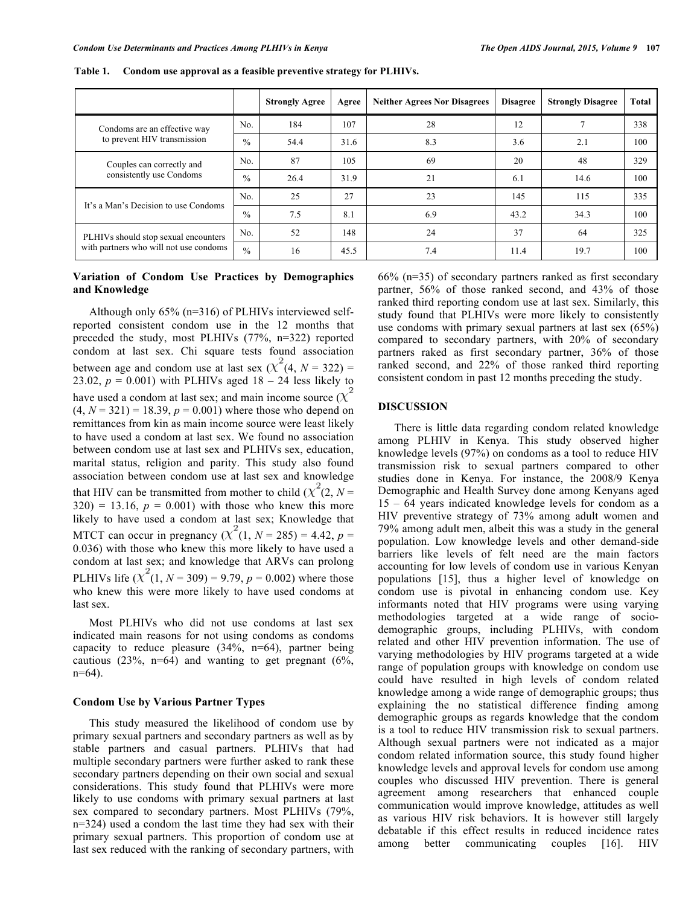|                                                                                |               | <b>Strongly Agree</b> | Agree | <b>Neither Agrees Nor Disagrees</b> | <b>Disagree</b> | <b>Strongly Disagree</b> | Total |
|--------------------------------------------------------------------------------|---------------|-----------------------|-------|-------------------------------------|-----------------|--------------------------|-------|
| Condoms are an effective way<br>to prevent HIV transmission                    | No.           | 184                   | 107   | 28                                  | 12              |                          | 338   |
|                                                                                | $\frac{0}{0}$ | 54.4                  | 31.6  | 8.3                                 | 3.6             | 2.1                      | 100   |
| Couples can correctly and<br>consistently use Condoms                          | No.           | 87                    | 105   | 69                                  | 20              | 48                       | 329   |
|                                                                                | $\frac{0}{0}$ | 26.4                  | 31.9  | 21                                  | 6.1             | 14.6                     | 100   |
| It's a Man's Decision to use Condoms                                           | No.           | 25                    | 27    | 23                                  | 145             | 115                      | 335   |
|                                                                                | $\frac{0}{0}$ | 7.5                   | 8.1   | 6.9                                 | 43.2            | 34.3                     | 100   |
| PLHIVs should stop sexual encounters<br>with partners who will not use condoms | No.           | 52                    | 148   | 24                                  | 37              | 64                       | 325   |
|                                                                                | $\frac{0}{0}$ | 16                    | 45.5  | 7.4                                 | 11.4            | 19.7                     | 100   |

**Table 1. Condom use approval as a feasible preventive strategy for PLHIVs.**

# **Variation of Condom Use Practices by Demographics and Knowledge**

Although only 65% (n=316) of PLHIVs interviewed selfreported consistent condom use in the 12 months that preceded the study, most PLHIVs (77%, n=322) reported condom at last sex. Chi square tests found association between age and condom use at last sex  $(X^{\dagger}(4, N = 322))$  = 23.02,  $p = 0.001$ ) with PLHIVs aged  $18 - 24$  less likely to have used a condom at last sex; and main income source  $(X)$  $(4, N = 321) = 18.39, p = 0.001$  where those who depend on remittances from kin as main income source were least likely to have used a condom at last sex. We found no association between condom use at last sex and PLHIVs sex, education, marital status, religion and parity. This study also found association between condom use at last sex and knowledge that HIV can be transmitted from mother to child ( $\chi^2(2, N =$  $320$ ) = 13.16,  $p = 0.001$ ) with those who knew this more likely to have used a condom at last sex; Knowledge that MTCT can occur in pregnancy  $(\chi^2(1, N = 285) = 4.42, p =$ 0.036) with those who knew this more likely to have used a condom at last sex; and knowledge that ARVs can prolong PLHIVs life  $(X^2(1, N = 309) = 9.79, p = 0.002)$  where those who knew this were more likely to have used condoms at last sex.

Most PLHIVs who did not use condoms at last sex indicated main reasons for not using condoms as condoms capacity to reduce pleasure (34%, n=64), partner being cautious  $(23\%, n=64)$  and wanting to get pregnant  $(6\%,$ n=64).

# **Condom Use by Various Partner Types**

This study measured the likelihood of condom use by primary sexual partners and secondary partners as well as by stable partners and casual partners. PLHIVs that had multiple secondary partners were further asked to rank these secondary partners depending on their own social and sexual considerations. This study found that PLHIVs were more likely to use condoms with primary sexual partners at last sex compared to secondary partners. Most PLHIVs (79%, n=324) used a condom the last time they had sex with their primary sexual partners. This proportion of condom use at last sex reduced with the ranking of secondary partners, with 66% (n=35) of secondary partners ranked as first secondary partner, 56% of those ranked second, and 43% of those ranked third reporting condom use at last sex. Similarly, this study found that PLHIVs were more likely to consistently use condoms with primary sexual partners at last sex (65%) compared to secondary partners, with 20% of secondary partners raked as first secondary partner, 36% of those ranked second, and 22% of those ranked third reporting consistent condom in past 12 months preceding the study.

### **DISCUSSION**

There is little data regarding condom related knowledge among PLHIV in Kenya. This study observed higher knowledge levels (97%) on condoms as a tool to reduce HIV transmission risk to sexual partners compared to other studies done in Kenya. For instance, the 2008/9 Kenya Demographic and Health Survey done among Kenyans aged 15 – 64 years indicated knowledge levels for condom as a HIV preventive strategy of 73% among adult women and 79% among adult men, albeit this was a study in the general population. Low knowledge levels and other demand-side barriers like levels of felt need are the main factors accounting for low levels of condom use in various Kenyan populations [15], thus a higher level of knowledge on condom use is pivotal in enhancing condom use. Key informants noted that HIV programs were using varying methodologies targeted at a wide range of sociodemographic groups, including PLHIVs, with condom related and other HIV prevention information. The use of varying methodologies by HIV programs targeted at a wide range of population groups with knowledge on condom use could have resulted in high levels of condom related knowledge among a wide range of demographic groups; thus explaining the no statistical difference finding among demographic groups as regards knowledge that the condom is a tool to reduce HIV transmission risk to sexual partners. Although sexual partners were not indicated as a major condom related information source, this study found higher knowledge levels and approval levels for condom use among couples who discussed HIV prevention. There is general agreement among researchers that enhanced couple communication would improve knowledge, attitudes as well as various HIV risk behaviors. It is however still largely debatable if this effect results in reduced incidence rates among better communicating couples [16]. HIV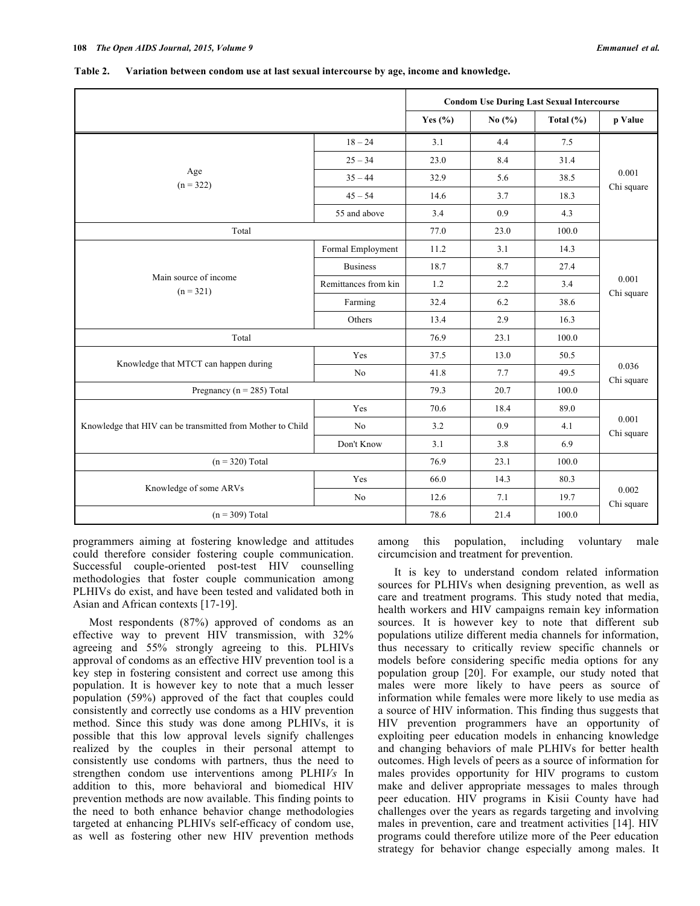|                                                            | <b>Condom Use During Last Sexual Intercourse</b> |             |            |              |                     |  |
|------------------------------------------------------------|--------------------------------------------------|-------------|------------|--------------|---------------------|--|
|                                                            |                                                  | Yes $(\% )$ | No $(\% )$ | Total $(\%)$ | p Value             |  |
|                                                            | $18 - 24$                                        | 3.1         | 4.4        | 7.5          | 0.001<br>Chi square |  |
|                                                            | $25 - 34$                                        | 23.0        | 8.4        | 31.4         |                     |  |
| Age<br>$(n = 322)$                                         | $35 - 44$                                        | 32.9        | 5.6        | 38.5         |                     |  |
|                                                            | $45 - 54$                                        | 14.6        | 3.7        | 18.3         |                     |  |
|                                                            | 55 and above                                     | 3.4         | 0.9        | 4.3          |                     |  |
| Total                                                      | 77.0                                             | 23.0        | 100.0      |              |                     |  |
|                                                            | Formal Employment                                | 11.2        | 3.1        | 14.3         |                     |  |
|                                                            | <b>Business</b>                                  | 18.7        | 8.7        | 27.4         |                     |  |
| Main source of income<br>$(n = 321)$                       | Remittances from kin                             | 1.2         | 2.2        | 3.4          | 0.001<br>Chi square |  |
|                                                            | Farming                                          | 32.4        | 6.2        | 38.6         |                     |  |
|                                                            | Others                                           | 13.4        | 2.9        | 16.3         |                     |  |
| Total                                                      | 76.9                                             | 23.1        | 100.0      |              |                     |  |
|                                                            | Yes                                              | 37.5        | 13.0       | 50.5         |                     |  |
| Knowledge that MTCT can happen during                      | No                                               | 41.8        | 7.7        | 49.5         | 0.036<br>Chi square |  |
| Pregnancy ( $n = 285$ ) Total                              | 79.3                                             | 20.7        | 100.0      |              |                     |  |
|                                                            | Yes                                              | 70.6        | 18.4       | 89.0         | 0.001<br>Chi square |  |
| Knowledge that HIV can be transmitted from Mother to Child | No                                               | 3.2         | 0.9        | 4.1          |                     |  |
|                                                            | Don't Know                                       | 3.1         | 3.8        | 6.9          |                     |  |
| $(n = 320)$ Total                                          | 76.9                                             | 23.1        | 100.0      |              |                     |  |
| Knowledge of some ARVs                                     | Yes                                              | 66.0        | 14.3       | 80.3         |                     |  |
|                                                            | No                                               | 12.6        | 7.1        | 19.7         | 0.002<br>Chi square |  |
| $(n = 309)$ Total                                          | 78.6                                             | 21.4        | 100.0      |              |                     |  |

**Table 2. Variation between condom use at last sexual intercourse by age, income and knowledge.**

programmers aiming at fostering knowledge and attitudes could therefore consider fostering couple communication. Successful couple-oriented post-test HIV counselling methodologies that foster couple communication among PLHIVs do exist, and have been tested and validated both in Asian and African contexts [17-19].

Most respondents (87%) approved of condoms as an effective way to prevent HIV transmission, with 32% agreeing and 55% strongly agreeing to this. PLHIVs approval of condoms as an effective HIV prevention tool is a key step in fostering consistent and correct use among this population. It is however key to note that a much lesser population (59%) approved of the fact that couples could consistently and correctly use condoms as a HIV prevention method. Since this study was done among PLHIVs, it is possible that this low approval levels signify challenges realized by the couples in their personal attempt to consistently use condoms with partners, thus the need to strengthen condom use interventions among PLHI*Vs* In addition to this, more behavioral and biomedical HIV prevention methods are now available. This finding points to the need to both enhance behavior change methodologies targeted at enhancing PLHIVs self-efficacy of condom use, as well as fostering other new HIV prevention methods

among this population, including voluntary male circumcision and treatment for prevention.

It is key to understand condom related information sources for PLHIVs when designing prevention, as well as care and treatment programs. This study noted that media, health workers and HIV campaigns remain key information sources. It is however key to note that different sub populations utilize different media channels for information, thus necessary to critically review specific channels or models before considering specific media options for any population group [20]. For example, our study noted that males were more likely to have peers as source of information while females were more likely to use media as a source of HIV information. This finding thus suggests that HIV prevention programmers have an opportunity of exploiting peer education models in enhancing knowledge and changing behaviors of male PLHIVs for better health outcomes. High levels of peers as a source of information for males provides opportunity for HIV programs to custom make and deliver appropriate messages to males through peer education. HIV programs in Kisii County have had challenges over the years as regards targeting and involving males in prevention, care and treatment activities [14]. HIV programs could therefore utilize more of the Peer education strategy for behavior change especially among males. It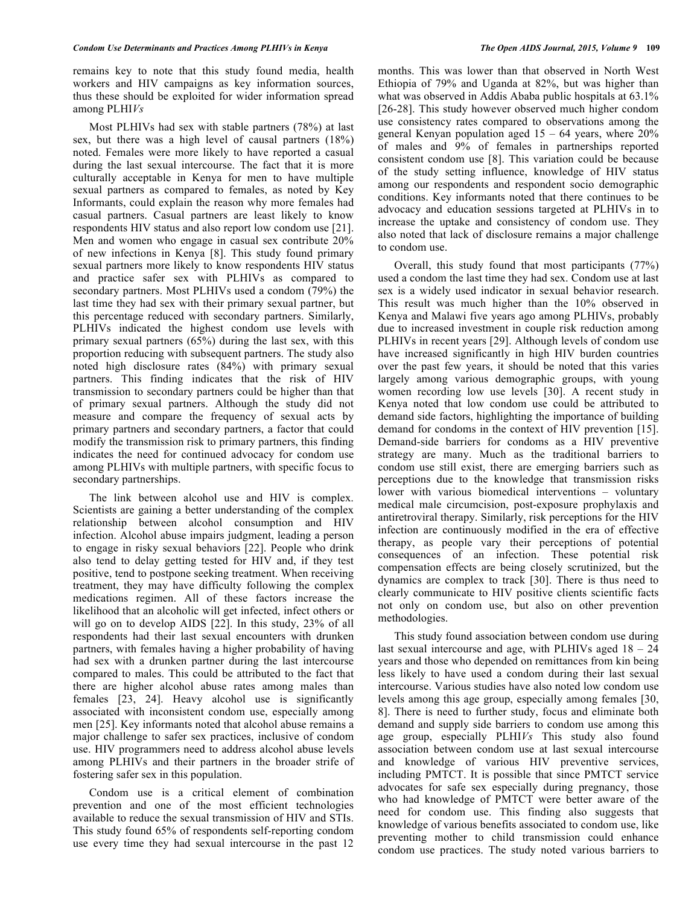remains key to note that this study found media, health workers and HIV campaigns as key information sources, thus these should be exploited for wider information spread among PLHI*Vs*

Most PLHIVs had sex with stable partners (78%) at last sex, but there was a high level of causal partners (18%) noted. Females were more likely to have reported a casual during the last sexual intercourse. The fact that it is more culturally acceptable in Kenya for men to have multiple sexual partners as compared to females, as noted by Key Informants, could explain the reason why more females had casual partners. Casual partners are least likely to know respondents HIV status and also report low condom use [21]. Men and women who engage in casual sex contribute 20% of new infections in Kenya [8]. This study found primary sexual partners more likely to know respondents HIV status and practice safer sex with PLHIVs as compared to secondary partners. Most PLHIVs used a condom (79%) the last time they had sex with their primary sexual partner, but this percentage reduced with secondary partners. Similarly, PLHIVs indicated the highest condom use levels with primary sexual partners (65%) during the last sex, with this proportion reducing with subsequent partners. The study also noted high disclosure rates (84%) with primary sexual partners. This finding indicates that the risk of HIV transmission to secondary partners could be higher than that of primary sexual partners. Although the study did not measure and compare the frequency of sexual acts by primary partners and secondary partners, a factor that could modify the transmission risk to primary partners, this finding indicates the need for continued advocacy for condom use among PLHIVs with multiple partners, with specific focus to secondary partnerships.

The link between alcohol use and HIV is complex. Scientists are gaining a better understanding of the complex relationship between alcohol consumption and HIV infection. Alcohol abuse impairs judgment, leading a person to engage in risky sexual behaviors [22]. People who drink also tend to delay getting tested for HIV and, if they test positive, tend to postpone seeking treatment. When receiving treatment, they may have difficulty following the complex medications regimen. All of these factors increase the likelihood that an alcoholic will get infected, infect others or will go on to develop AIDS [22]. In this study, 23% of all respondents had their last sexual encounters with drunken partners, with females having a higher probability of having had sex with a drunken partner during the last intercourse compared to males. This could be attributed to the fact that there are higher alcohol abuse rates among males than females [23, 24]. Heavy alcohol use is significantly associated with inconsistent condom use, especially among men [25]. Key informants noted that alcohol abuse remains a major challenge to safer sex practices, inclusive of condom use. HIV programmers need to address alcohol abuse levels among PLHIVs and their partners in the broader strife of fostering safer sex in this population.

Condom use is a critical element of combination prevention and one of the most efficient technologies available to reduce the sexual transmission of HIV and STIs. This study found 65% of respondents self-reporting condom use every time they had sexual intercourse in the past 12

months. This was lower than that observed in North West Ethiopia of 79% and Uganda at 82%, but was higher than what was observed in Addis Ababa public hospitals at 63.1% [26-28]. This study however observed much higher condom use consistency rates compared to observations among the general Kenyan population aged  $15 - 64$  years, where  $20\%$ of males and 9% of females in partnerships reported consistent condom use [8]. This variation could be because of the study setting influence, knowledge of HIV status among our respondents and respondent socio demographic conditions. Key informants noted that there continues to be advocacy and education sessions targeted at PLHIVs in to increase the uptake and consistency of condom use. They also noted that lack of disclosure remains a major challenge to condom use.

Overall, this study found that most participants (77%) used a condom the last time they had sex. Condom use at last sex is a widely used indicator in sexual behavior research. This result was much higher than the 10% observed in Kenya and Malawi five years ago among PLHIVs, probably due to increased investment in couple risk reduction among PLHIVs in recent years [29]. Although levels of condom use have increased significantly in high HIV burden countries over the past few years, it should be noted that this varies largely among various demographic groups, with young women recording low use levels [30]. A recent study in Kenya noted that low condom use could be attributed to demand side factors, highlighting the importance of building demand for condoms in the context of HIV prevention [15]. Demand-side barriers for condoms as a HIV preventive strategy are many. Much as the traditional barriers to condom use still exist, there are emerging barriers such as perceptions due to the knowledge that transmission risks lower with various biomedical interventions – voluntary medical male circumcision, post-exposure prophylaxis and antiretroviral therapy. Similarly, risk perceptions for the HIV infection are continuously modified in the era of effective therapy, as people vary their perceptions of potential consequences of an infection. These potential risk compensation effects are being closely scrutinized, but the dynamics are complex to track [30]. There is thus need to clearly communicate to HIV positive clients scientific facts not only on condom use, but also on other prevention methodologies.

This study found association between condom use during last sexual intercourse and age, with PLHIVs aged 18 – 24 years and those who depended on remittances from kin being less likely to have used a condom during their last sexual intercourse. Various studies have also noted low condom use levels among this age group, especially among females [30, 8]. There is need to further study, focus and eliminate both demand and supply side barriers to condom use among this age group, especially PLHI*Vs* This study also found association between condom use at last sexual intercourse and knowledge of various HIV preventive services, including PMTCT. It is possible that since PMTCT service advocates for safe sex especially during pregnancy, those who had knowledge of PMTCT were better aware of the need for condom use. This finding also suggests that knowledge of various benefits associated to condom use, like preventing mother to child transmission could enhance condom use practices. The study noted various barriers to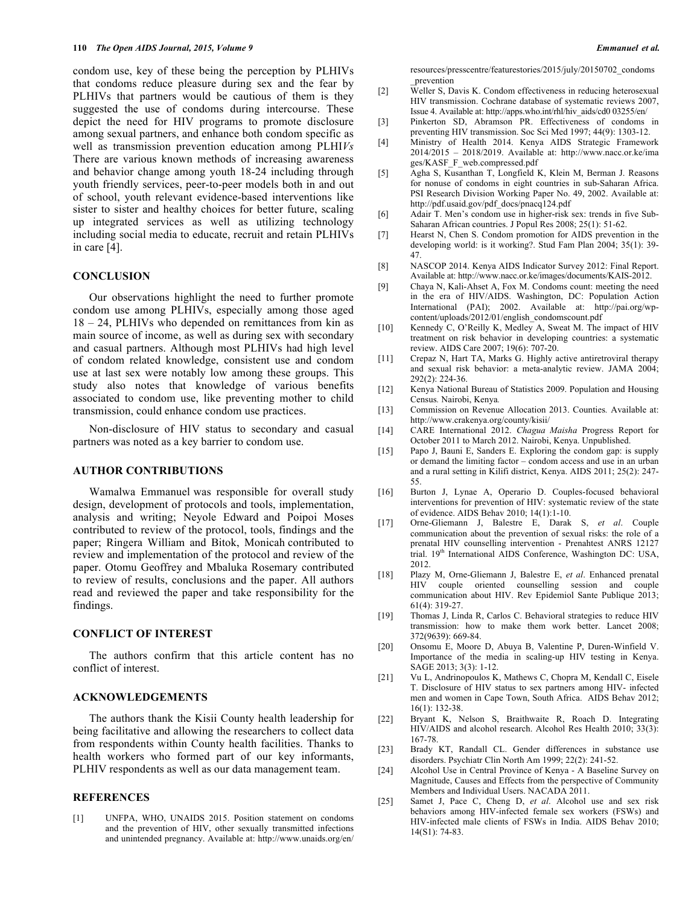condom use, key of these being the perception by PLHIVs that condoms reduce pleasure during sex and the fear by PLHIVs that partners would be cautious of them is they suggested the use of condoms during intercourse. These depict the need for HIV programs to promote disclosure among sexual partners, and enhance both condom specific as well as transmission prevention education among PLHI*Vs* There are various known methods of increasing awareness and behavior change among youth 18-24 including through youth friendly services, peer-to-peer models both in and out of school, youth relevant evidence-based interventions like sister to sister and healthy choices for better future, scaling up integrated services as well as utilizing technology including social media to educate, recruit and retain PLHIVs in care [4].

# **CONCLUSION**

Our observations highlight the need to further promote condom use among PLHIVs, especially among those aged 18 – 24, PLHIVs who depended on remittances from kin as main source of income, as well as during sex with secondary and casual partners. Although most PLHIVs had high level of condom related knowledge, consistent use and condom use at last sex were notably low among these groups. This study also notes that knowledge of various benefits associated to condom use, like preventing mother to child transmission, could enhance condom use practices.

Non-disclosure of HIV status to secondary and casual partners was noted as a key barrier to condom use.

#### **AUTHOR CONTRIBUTIONS**

Wamalwa Emmanuel was responsible for overall study design, development of protocols and tools, implementation, analysis and writing; Neyole Edward and Poipoi Moses contributed to review of the protocol, tools, findings and the paper; Ringera William and Bitok, Monicah contributed to review and implementation of the protocol and review of the paper. Otomu Geoffrey and Mbaluka Rosemary contributed to review of results, conclusions and the paper. All authors read and reviewed the paper and take responsibility for the findings.

#### **CONFLICT OF INTEREST**

The authors confirm that this article content has no conflict of interest.

#### **ACKNOWLEDGEMENTS**

The authors thank the Kisii County health leadership for being facilitative and allowing the researchers to collect data from respondents within County health facilities. Thanks to health workers who formed part of our key informants, PLHIV respondents as well as our data management team.

### **REFERENCES**

[1] UNFPA, WHO, UNAIDS 2015. Position statement on condoms and the prevention of HIV, other sexually transmitted infections and unintended pregnancy. Available at: http://www.unaids.org/en/

resources/presscentre/featurestories/2015/july/20150702\_condoms \_prevention

- [2] Weller S, Davis K. Condom effectiveness in reducing heterosexual HIV transmission. Cochrane database of systematic reviews 2007, Issue 4. Available at: http://apps.who.int/rhl/hiv\_aids/cd0 03255/en/
- [3] Pinkerton SD, Abramson PR. Effectiveness of condoms in preventing HIV transmission. Soc Sci Med 1997; 44(9): 1303-12.
- [4] Ministry of Health 2014. Kenya AIDS Strategic Framework 2014/2015 – 2018/2019. Available at: http://www.nacc.or.ke/ima ges/KASF\_F\_web.compressed.pdf
- [5] Agha S, Kusanthan T, Longfield K, Klein M, Berman J. Reasons for nonuse of condoms in eight countries in sub-Saharan Africa. PSI Research Division Working Paper No. 49, 2002. Available at: http://pdf.usaid.gov/pdf\_docs/pnacq124.pdf
- [6] Adair T. Men's condom use in higher-risk sex: trends in five Sub-Saharan African countries. J Popul Res 2008; 25(1): 51-62.
- [7] Hearst N, Chen S. Condom promotion for AIDS prevention in the developing world: is it working?. Stud Fam Plan 2004; 35(1): 39- 47.
- [8] NASCOP 2014. Kenya AIDS Indicator Survey 2012: Final Report. Available at: http://www.nacc.or.ke/images/documents/KAIS-2012.
- [9] Chaya N, Kali-Ahset A, Fox M. Condoms count: meeting the need in the era of HIV/AIDS. Washington, DC: Population Action International (PAI); 2002. Available at: http://pai.org/wpcontent/uploads/2012/01/english\_condomscount.pdf
- [10] Kennedy C, O'Reilly K, Medley A, Sweat M. The impact of HIV treatment on risk behavior in developing countries: a systematic review. AIDS Care 2007; 19(6): 707-20.
- [11] Crepaz N, Hart TA, Marks G. Highly active antiretroviral therapy and sexual risk behavior: a meta-analytic review. JAMA 2004; 292(2): 224-36.
- [12] Kenya National Bureau of Statistics 2009. Population and Housing Census*.* Nairobi, Kenya*.*
- [13] Commission on Revenue Allocation 2013. Counties*.* Available at: http://www.crakenya.org/county/kisii/
- [14] CARE International 2012. *Chagua Maisha* Progress Report for October 2011 to March 2012. Nairobi, Kenya. Unpublished.
- [15] Papo J, Bauni E, Sanders E. Exploring the condom gap: is supply or demand the limiting factor – condom access and use in an urban and a rural setting in Kilifi district, Kenya. AIDS 2011; 25(2): 247- 55.
- [16] Burton J, Lynae A, Operario D. Couples-focused behavioral interventions for prevention of HIV: systematic review of the state of evidence. AIDS Behav 2010; 14(1):1-10.
- [17] Orne-Gliemann J, Balestre E, Darak S, *et al*. Couple communication about the prevention of sexual risks: the role of a prenatal HIV counselling intervention - Prenahtest ANRS 12127 trial. 19<sup>th</sup> International AIDS Conference, Washington DC: USA, 2012.
- [18] Plazy M, Orne-Gliemann J, Balestre E, *et al*. Enhanced prenatal HIV couple oriented counselling session and couple communication about HIV. Rev Epidemiol Sante Publique 2013; 61(4): 319-27.
- [19] Thomas J, Linda R, Carlos C. Behavioral strategies to reduce HIV transmission: how to make them work better. Lancet 2008; 372(9639): 669-84.
- [20] Onsomu E, Moore D, Abuya B, Valentine P, Duren-Winfield V. Importance of the media in scaling-up HIV testing in Kenya. SAGE 2013; 3(3): 1-12.
- [21] Vu L, Andrinopoulos K, Mathews C, Chopra M, Kendall C, Eisele T. Disclosure of HIV status to sex partners among HIV- infected men and women in Cape Town, South Africa. AIDS Behav 2012; 16(1): 132-38.
- [22] Bryant K, Nelson S, Braithwaite R, Roach D. Integrating HIV/AIDS and alcohol research. Alcohol Res Health 2010; 33(3): 167-78.
- [23] Brady KT, Randall CL. Gender differences in substance use disorders. Psychiatr Clin North Am 1999; 22(2): 241-52.
- [24] Alcohol Use in Central Province of Kenya A Baseline Survey on Magnitude, Causes and Effects from the perspective of Community Members and Individual Users. NACADA 2011.
- [25] Samet J, Pace C, Cheng D, *et al*. Alcohol use and sex risk behaviors among HIV-infected female sex workers (FSWs) and HIV-infected male clients of FSWs in India. AIDS Behav 2010; 14(S1): 74-83.